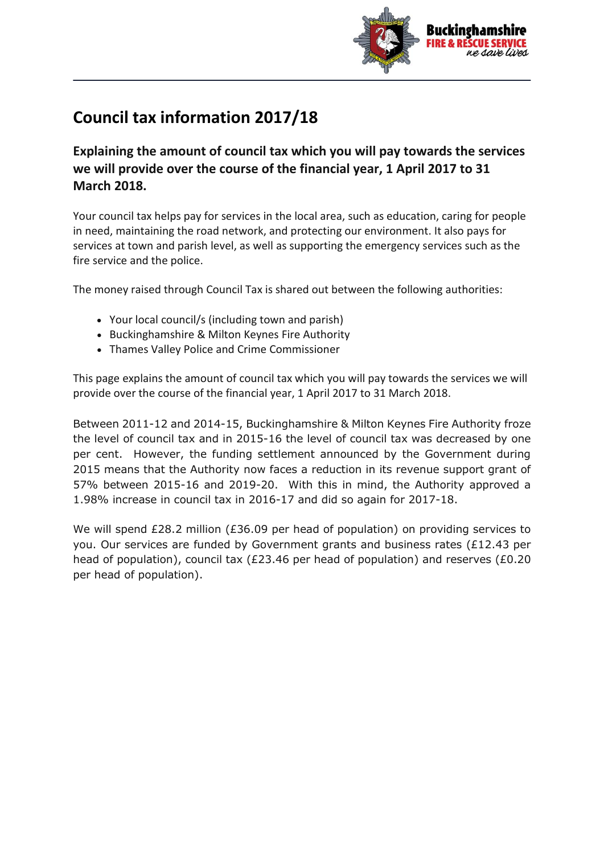

## **Council tax information 2017/18**

**Explaining the amount of council tax which you will pay towards the services we will provide over the course of the financial year, 1 April 2017 to 31 March 2018.**

Your council tax helps pay for services in the local area, such as education, caring for people in need, maintaining the road network, and protecting our environment. It also pays for services at town and parish level, as well as supporting the emergency services such as the fire service and the police.

The money raised through Council Tax is shared out between the following authorities:

- Your local council/s (including town and parish)
- Buckinghamshire & Milton Keynes Fire Authority
- Thames Valley Police and Crime Commissioner

This page explains the amount of council tax which you will pay towards the services we will provide over the course of the financial year, 1 April 2017 to 31 March 2018.

Between 2011-12 and 2014-15, Buckinghamshire & Milton Keynes Fire Authority froze the level of council tax and in 2015-16 the level of council tax was decreased by one per cent. However, the funding settlement announced by the Government during 2015 means that the Authority now faces a reduction in its revenue support grant of 57% between 2015-16 and 2019-20. With this in mind, the Authority approved a 1.98% increase in council tax in 2016-17 and did so again for 2017-18.

We will spend £28.2 million (£36.09 per head of population) on providing services to you. Our services are funded by Government grants and business rates (£12.43 per head of population), council tax (£23.46 per head of population) and reserves (£0.20 per head of population).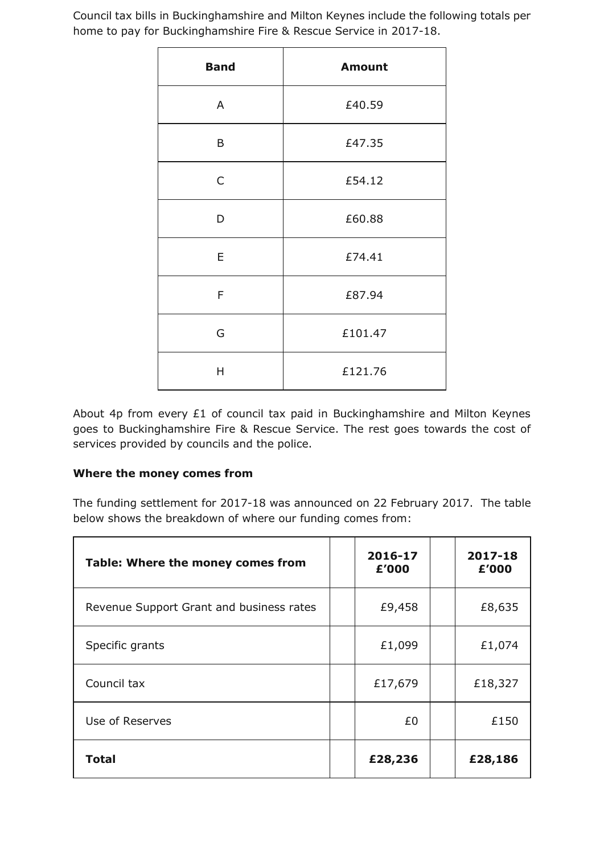Council tax bills in Buckinghamshire and Milton Keynes include the following totals per home to pay for Buckinghamshire Fire & Rescue Service in 2017-18.

| <b>Band</b>  | <b>Amount</b> |  |  |  |  |
|--------------|---------------|--|--|--|--|
| A            | £40.59        |  |  |  |  |
| B            | £47.35        |  |  |  |  |
| $\mathsf{C}$ | £54.12        |  |  |  |  |
| D            | £60.88        |  |  |  |  |
| E            | £74.41        |  |  |  |  |
| F            | £87.94        |  |  |  |  |
| G            | £101.47       |  |  |  |  |
| Η            | £121.76       |  |  |  |  |

About 4p from every £1 of council tax paid in Buckinghamshire and Milton Keynes goes to Buckinghamshire Fire & Rescue Service. The rest goes towards the cost of services provided by councils and the police.

## **Where the money comes from**

The funding settlement for 2017-18 was announced on 22 February 2017. The table below shows the breakdown of where our funding comes from:

| Table: Where the money comes from        |  | 2016-17<br>£'000 | 2017-18<br>£'000 |
|------------------------------------------|--|------------------|------------------|
| Revenue Support Grant and business rates |  | £9,458           | £8,635           |
| Specific grants                          |  | £1,099           | £1,074           |
| Council tax                              |  | £17,679          | £18,327          |
| Use of Reserves                          |  | £0               | £150             |
| Total                                    |  | £28,236          | £28,186          |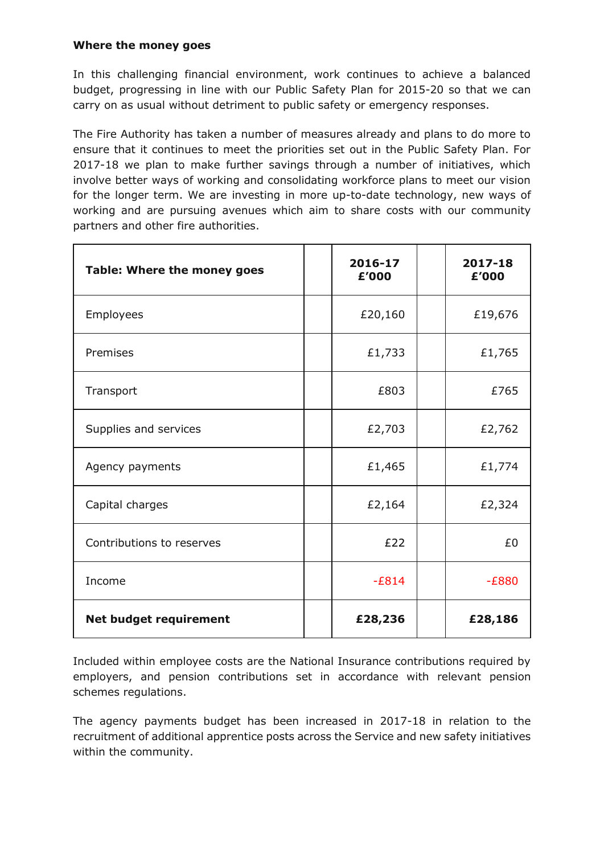## **Where the money goes**

In this challenging financial environment, work continues to achieve a balanced budget, progressing in line with our Public Safety Plan for 2015-20 so that we can carry on as usual without detriment to public safety or emergency responses.

The Fire Authority has taken a number of measures already and plans to do more to ensure that it continues to meet the priorities set out in the Public Safety Plan. For 2017-18 we plan to make further savings through a number of initiatives, which involve better ways of working and consolidating workforce plans to meet our vision for the longer term. We are investing in more up-to-date technology, new ways of working and are pursuing avenues which aim to share costs with our community partners and other fire authorities.

| Table: Where the money goes   |  | 2016-17<br>£'000 | 2017-18<br>£'000 |
|-------------------------------|--|------------------|------------------|
| Employees                     |  | £20,160          | £19,676          |
| Premises                      |  | £1,733           | £1,765           |
| Transport                     |  | £803             | £765             |
| Supplies and services         |  | £2,703           | £2,762           |
| Agency payments               |  | £1,465           | £1,774           |
| Capital charges               |  | £2,164           | £2,324           |
| Contributions to reserves     |  | £22              | £0               |
| Income                        |  | $-E814$          | $-E880$          |
| <b>Net budget requirement</b> |  | £28,236          | £28,186          |

Included within employee costs are the National Insurance contributions required by employers, and pension contributions set in accordance with relevant pension schemes regulations.

The agency payments budget has been increased in 2017-18 in relation to the recruitment of additional apprentice posts across the Service and new safety initiatives within the community.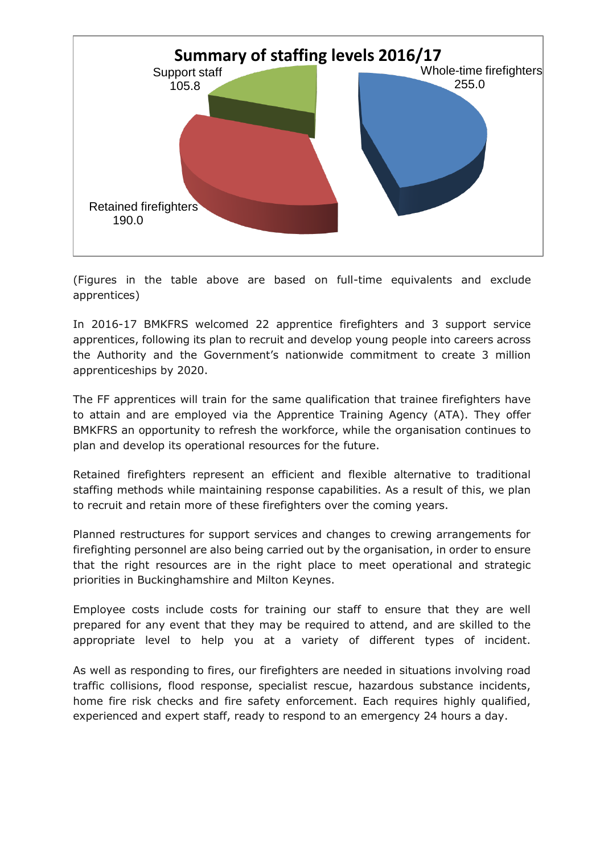

(Figures in the table above are based on full-time equivalents and exclude apprentices)

In 2016-17 BMKFRS welcomed 22 apprentice firefighters and 3 support service apprentices, following its plan to recruit and develop young people into careers across the Authority and the Government's nationwide commitment to create 3 million apprenticeships by 2020.

The FF apprentices will train for the same qualification that trainee firefighters have to attain and are employed via the Apprentice Training Agency (ATA). They offer BMKFRS an opportunity to refresh the workforce, while the organisation continues to plan and develop its operational resources for the future.

Retained firefighters represent an efficient and flexible alternative to traditional staffing methods while maintaining response capabilities. As a result of this, we plan to recruit and retain more of these firefighters over the coming years.

Planned restructures for support services and changes to crewing arrangements for firefighting personnel are also being carried out by the organisation, in order to ensure that the right resources are in the right place to meet operational and strategic priorities in Buckinghamshire and Milton Keynes.

Employee costs include costs for training our staff to ensure that they are well prepared for any event that they may be required to attend, and are skilled to the appropriate level to help you at a variety of different types of incident.

As well as responding to fires, our firefighters are needed in situations involving road traffic collisions, flood response, specialist rescue, hazardous substance incidents, home fire risk checks and fire safety enforcement. Each requires highly qualified, experienced and expert staff, ready to respond to an emergency 24 hours a day.